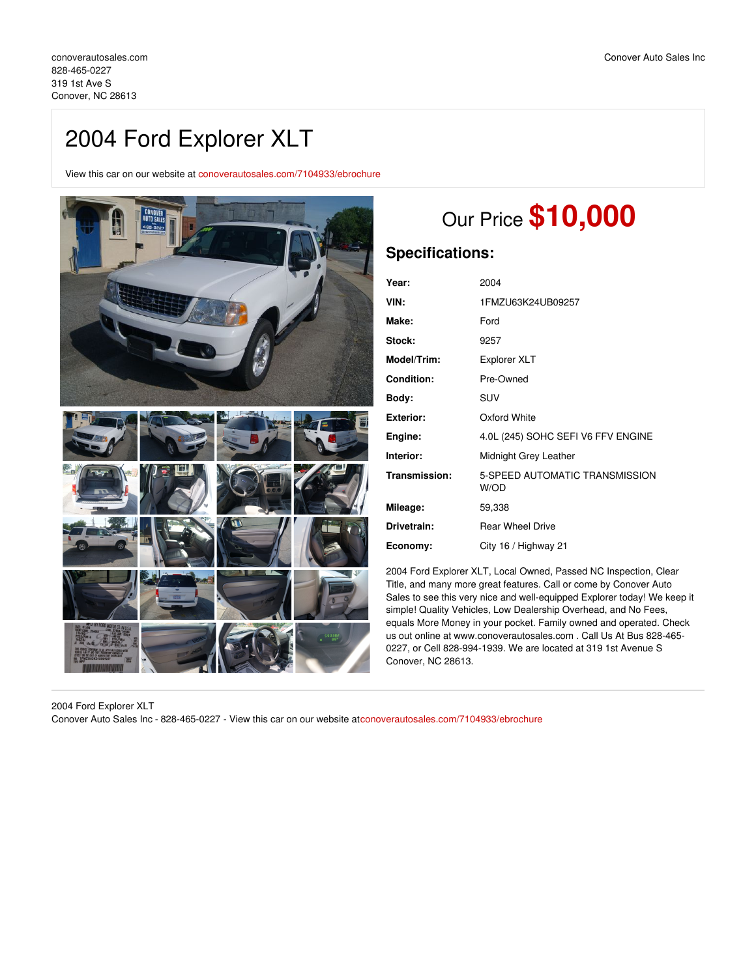# 2004 Ford Explorer XLT

View this car on our website at [conoverautosales.com/7104933/ebrochure](https://conoverautosales.com/vehicle/7104933/2004-ford-explorer-xlt-conover-nc-28613/7104933/ebrochure)



# Our Price **\$10,000**

# **Specifications:**

| Year:            | 2004                                   |
|------------------|----------------------------------------|
| VIN:             | 1FMZU63K24UB09257                      |
| Make:            | Ford                                   |
| Stock:           | 9257                                   |
| Model/Trim:      | <b>Explorer XLT</b>                    |
| Condition:       | Pre-Owned                              |
| Body:            | SUV                                    |
| <b>Exterior:</b> | Oxford White                           |
| Engine:          | 4.0L (245) SOHC SEFI V6 FFV ENGINE     |
| Interior:        | Midnight Grey Leather                  |
| Transmission:    | 5-SPEED AUTOMATIC TRANSMISSION<br>W/OD |
| Mileage:         | 59,338                                 |
| Drivetrain:      | <b>Rear Wheel Drive</b>                |
| Economy:         | City 16 / Highway 21                   |

2004 Ford Explorer XLT, Local Owned, Passed NC Inspection, Clear Title, and many more great features. Call or come by Conover Auto Sales to see this very nice and well-equipped Explorer today! We keep it simple! Quality Vehicles, Low Dealership Overhead, and No Fees, equals More Money in your pocket. Family owned and operated. Check us out online at www.conoverautosales.com . Call Us At Bus 828-465- 0227, or Cell 828-994-1939. We are located at 319 1st Avenue S Conover, NC 28613.

2004 Ford Explorer XLT Conover Auto Sales Inc - 828-465-0227 - View this car on our website at[conoverautosales.com/7104933/ebrochure](https://conoverautosales.com/vehicle/7104933/2004-ford-explorer-xlt-conover-nc-28613/7104933/ebrochure)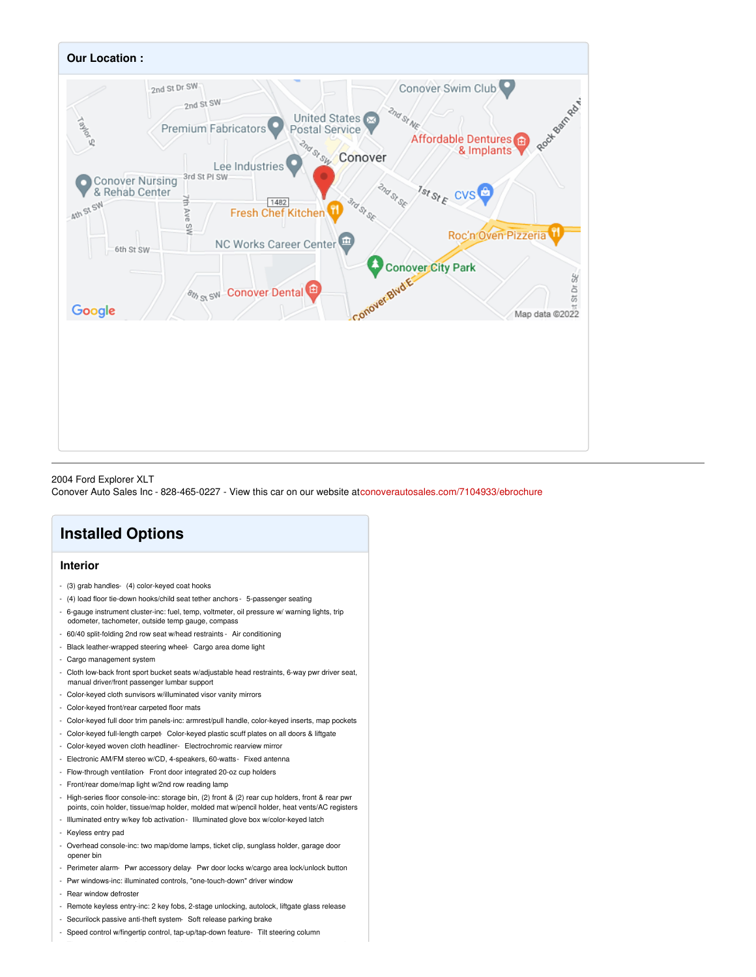

## 2004 Ford Explorer XLT

Conover Auto Sales Inc - 828-465-0227 - View this car on our website at[conoverautosales.com/7104933/ebrochure](https://conoverautosales.com/vehicle/7104933/2004-ford-explorer-xlt-conover-nc-28613/7104933/ebrochure)

# **Installed Options**

## **Interior**

- (3) grab handles- (4) color-keyed coat hooks
- (4) load floor tie-down hooks/child seat tether anchors 5-passenger seating
- 6-gauge instrument cluster-inc: fuel, temp, voltmeter, oil pressure w/ warning lights, trip odometer, tachometer, outside temp gauge, compass
- 60/40 split-folding 2nd row seat w/head restraints Air conditioning
- Black leather-wrapped steering wheel- Cargo area dome light
- Cargo management system
- Cloth low-back front sport bucket seats w/adjustable head restraints, 6-way pwr driver seat, manual driver/front passenger lumbar support
- Color-keyed cloth sunvisors w/illuminated visor vanity mirrors
- Color-keyed front/rear carpeted floor mats
- Color-keyed full door trim panels-inc: armrest/pull handle, color-keyed inserts, map pockets
- Color-keyed full-length carpet- Color-keyed plastic scuff plates on all doors & liftgate
- Color-keyed woven cloth headliner- Electrochromic rearview mirror
- Electronic AM/FM stereo w/CD, 4-speakers, 60-watts- Fixed antenna
- Flow-through ventilation- Front door integrated 20-oz cup holders
- Front/rear dome/map light w/2nd row reading lamp
- High-series floor console-inc: storage bin, (2) front & (2) rear cup holders, front & rear pwr points, coin holder, tissue/map holder, molded mat w/pencil holder, heat vents/AC registers
- Illuminated entry w/key fob activation- Illuminated glove box w/color-keyed latch
- Keyless entry pad
- Overhead console-inc: two map/dome lamps, ticket clip, sunglass holder, garage door opener bin
- Perimeter alarm- Pwr accessory delay- Pwr door locks w/cargo area lock/unlock button
- Pwr windows-inc: illuminated controls, "one-touch-down" driver window
- Rear window defroster
- Remote keyless entry-inc: 2 key fobs, 2-stage unlocking, autolock, liftgate glass release
- Securilock passive anti-theft system- Soft release parking brake
- Speed control w/fingertip control, tap-up/tap-down feature- Tilt steering column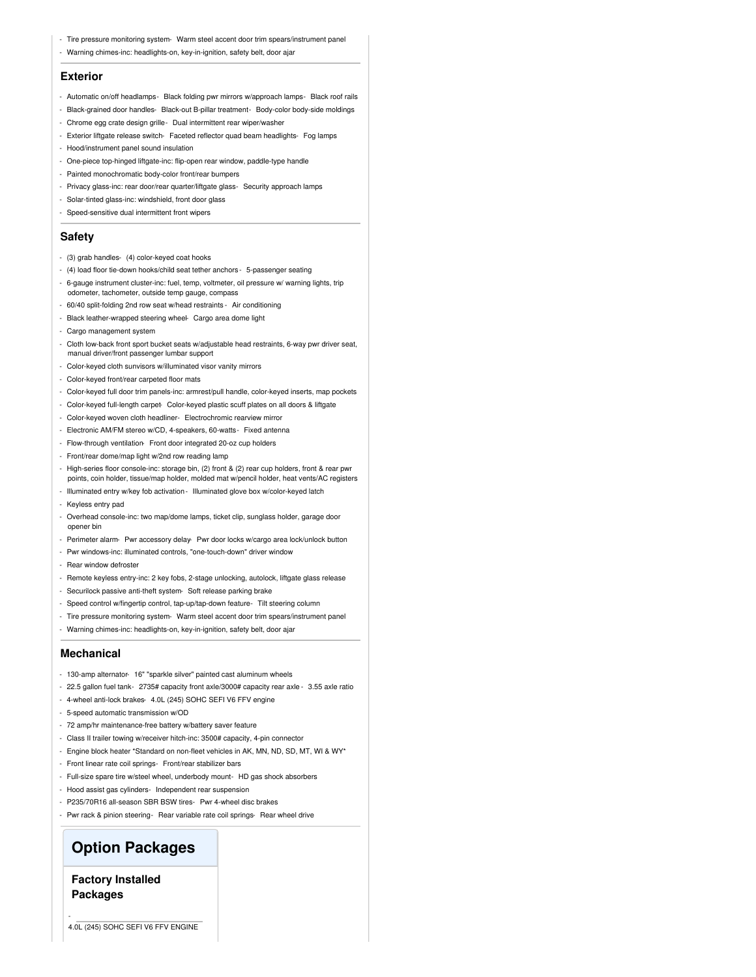- Tire pressure monitoring system- Warm steel accent door trim spears/instrument panel
- Warning chimes-inc: headlights-on, key-in-ignition, safety belt, door ajar

#### **Exterior**

- Automatic on/off headlamps- Black folding pwr mirrors w/approach lamps- Black roof rails
- Black-grained door handles- Black-out B-pillar treatment- Body-color body-side moldings
- Chrome egg crate design grille- Dual intermittent rear wiper/washer
- Exterior liftgate release switch- Faceted reflector quad beam headlights- Fog lamps
- Hood/instrument panel sound insulation
- One-piece top-hinged liftgate-inc: flip-open rear window, paddle-type handle
- Painted monochromatic body-color front/rear bumpers
- Privacy glass-inc: rear door/rear quarter/liftgate glass- Security approach lamps
- Solar-tinted glass-inc: windshield, front door glass
- Speed-sensitive dual intermittent front wipers

## **Safety**

- (3) grab handles- (4) color-keyed coat hooks
- (4) load floor tie-down hooks/child seat tether anchors 5-passenger seating
- 6-gauge instrument cluster-inc: fuel, temp, voltmeter, oil pressure w/ warning lights, trip odometer, tachometer, outside temp gauge, compass
- 60/40 split-folding 2nd row seat w/head restraints Air conditioning
- Black leather-wrapped steering wheel- Cargo area dome light
- Cargo management system
- Cloth low-back front sport bucket seats w/adjustable head restraints, 6-way pwr driver seat, manual driver/front passenger lumbar support
- Color-keyed cloth sunvisors w/illuminated visor vanity mirrors
- Color-keyed front/rear carpeted floor mats
- Color-keyed full door trim panels-inc: armrest/pull handle, color-keyed inserts, map pockets
- Color-keyed full-length carpet- Color-keyed plastic scuff plates on all doors & liftgate
- Color-keyed woven cloth headliner- Electrochromic rearview mirror
- Electronic AM/FM stereo w/CD, 4-speakers, 60-watts- Fixed antenna
- Flow-through ventilation- Front door integrated 20-oz cup holders
- Front/rear dome/map light w/2nd row reading lamp
- High-series floor console-inc: storage bin, (2) front & (2) rear cup holders, front & rear pwr points, coin holder, tissue/map holder, molded mat w/pencil holder, heat vents/AC registers
- Illuminated entry w/key fob activation- Illuminated glove box w/color-keyed latch
- Keyless entry pad
- Overhead console-inc: two map/dome lamps, ticket clip, sunglass holder, garage door opener bin
- Perimeter alarm- Pwr accessory delay- Pwr door locks w/cargo area lock/unlock button
- Pwr windows-inc: illuminated controls, "one-touch-down" driver window
- Rear window defroster
- Remote keyless entry-inc: 2 key fobs, 2-stage unlocking, autolock, liftgate glass release
- Securilock passive anti-theft system- Soft release parking brake
- Speed control w/fingertip control, tap-up/tap-down feature- Tilt steering column
- Tire pressure monitoring system- Warm steel accent door trim spears/instrument panel
- Warning chimes-inc: headlights-on, key-in-ignition, safety belt, door ajar

## **Mechanical**

- 130-amp alternator- 16" "sparkle silver" painted cast aluminum wheels
- 22.5 gallon fuel tank- 2735# capacity front axle/3000# capacity rear axle 3.55 axle ratio
- 4-wheel anti-lock brakes- 4.0L (245) SOHC SEFI V6 FFV engine
- 5-speed automatic transmission w/OD
- 72 amp/hr maintenance-free battery w/battery saver feature
- Class II trailer towing w/receiver hitch-inc: 3500# capacity, 4-pin connector
- Engine block heater \*Standard on non-fleet vehicles in AK, MN, ND, SD, MT, WI & WY\*
- Front linear rate coil springs- Front/rear stabilizer bars
- Full-size spare tire w/steel wheel, underbody mount- HD gas shock absorbers
- Hood assist gas cylinders- Independent rear suspension
- P235/70R16 all-season SBR BSW tires- Pwr 4-wheel disc brakes
- Pwr rack & pinion steering- Rear variable rate coil springs- Rear wheel drive

## **Option Packages**

**Factory Installed Packages**

-

4.0L (245) SOHC SEFI V6 FFV ENGINE